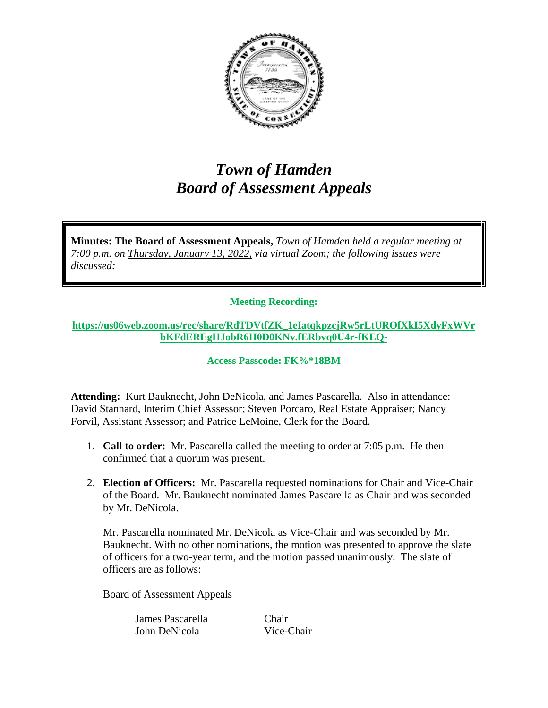

## *Town of Hamden Board of Assessment Appeals*

**Minutes: The Board of Assessment Appeals,** *Town of Hamden held a regular meeting at 7:00 p.m. on Thursday, January 13, 2022, via virtual Zoom; the following issues were discussed:*

## **Meeting Recording:**

## **[https://us06web.zoom.us/rec/share/RdTDVtfZK\\_1eIatqkpzcjRw5rLtUROfXkI5XdyFxWVr](https://us06web.zoom.us/rec/share/RdTDVtfZK_1eIatqkpzcjRw5rLtUROfXkI5XdyFxWVrbKFdEREgHJobR6H0D0KNv.fERbvq0U4r-fKEQ-) [bKFdEREgHJobR6H0D0KNv.fERbvq0U4r-fKEQ-](https://us06web.zoom.us/rec/share/RdTDVtfZK_1eIatqkpzcjRw5rLtUROfXkI5XdyFxWVrbKFdEREgHJobR6H0D0KNv.fERbvq0U4r-fKEQ-)**

## **Access Passcode: FK%\*18BM**

**Attending:** Kurt Bauknecht, John DeNicola, and James Pascarella. Also in attendance: David Stannard, Interim Chief Assessor; Steven Porcaro, Real Estate Appraiser; Nancy Forvil, Assistant Assessor; and Patrice LeMoine, Clerk for the Board.

- 1. **Call to order:** Mr. Pascarella called the meeting to order at 7:05 p.m. He then confirmed that a quorum was present.
- 2. **Election of Officers:** Mr. Pascarella requested nominations for Chair and Vice-Chair of the Board. Mr. Bauknecht nominated James Pascarella as Chair and was seconded by Mr. DeNicola.

Mr. Pascarella nominated Mr. DeNicola as Vice-Chair and was seconded by Mr. Bauknecht. With no other nominations, the motion was presented to approve the slate of officers for a two-year term, and the motion passed unanimously. The slate of officers are as follows:

Board of Assessment Appeals

James Pascarella Chair John DeNicola Vice-Chair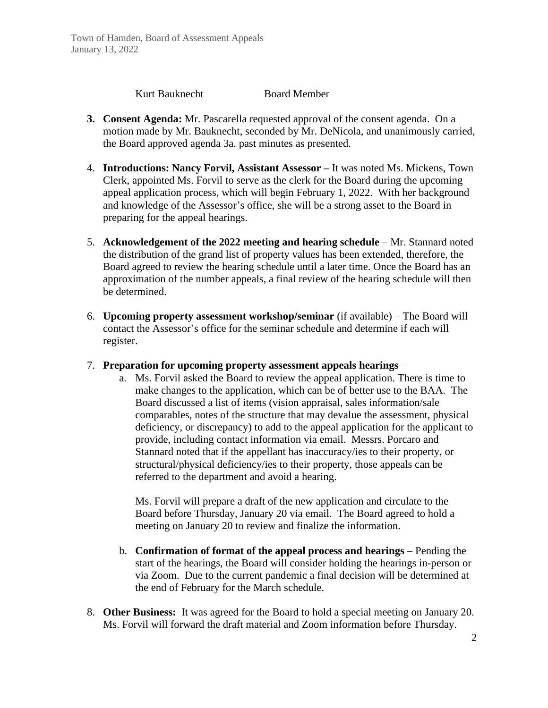Kurt Bauknecht Board Member

- **3. Consent Agenda:** Mr. Pascarella requested approval of the consent agenda. On a motion made by Mr. Bauknecht, seconded by Mr. DeNicola, and unanimously carried, the Board approved agenda 3a. past minutes as presented.
- 4. **Introductions: Nancy Forvil, Assistant Assessor –** It was noted Ms. Mickens, Town Clerk, appointed Ms. Forvil to serve as the clerk for the Board during the upcoming appeal application process, which will begin February 1, 2022. With her background and knowledge of the Assessor's office, she will be a strong asset to the Board in preparing for the appeal hearings.
- 5. **Acknowledgement of the 2022 meeting and hearing schedule** Mr. Stannard noted the distribution of the grand list of property values has been extended, therefore, the Board agreed to review the hearing schedule until a later time. Once the Board has an approximation of the number appeals, a final review of the hearing schedule will then be determined.
- 6. **Upcoming property assessment workshop/seminar** (if available) The Board will contact the Assessor's office for the seminar schedule and determine if each will register.
- 7. **Preparation for upcoming property assessment appeals hearings**
	- a. Ms. Forvil asked the Board to review the appeal application. There is time to make changes to the application, which can be of better use to the BAA. The Board discussed a list of items (vision appraisal, sales information/sale comparables, notes of the structure that may devalue the assessment, physical deficiency, or discrepancy) to add to the appeal application for the applicant to provide, including contact information via email. Messrs. Porcaro and Stannard noted that if the appellant has inaccuracy/ies to their property, or structural/physical deficiency/ies to their property, those appeals can be referred to the department and avoid a hearing.

Ms. Forvil will prepare a draft of the new application and circulate to the Board before Thursday, January 20 via email. The Board agreed to hold a meeting on January 20 to review and finalize the information.

- b. **Confirmation of format of the appeal process and hearings** Pending the start of the hearings, the Board will consider holding the hearings in-person or via Zoom. Due to the current pandemic a final decision will be determined at the end of February for the March schedule.
- 8. **Other Business:** It was agreed for the Board to hold a special meeting on January 20. Ms. Forvil will forward the draft material and Zoom information before Thursday.